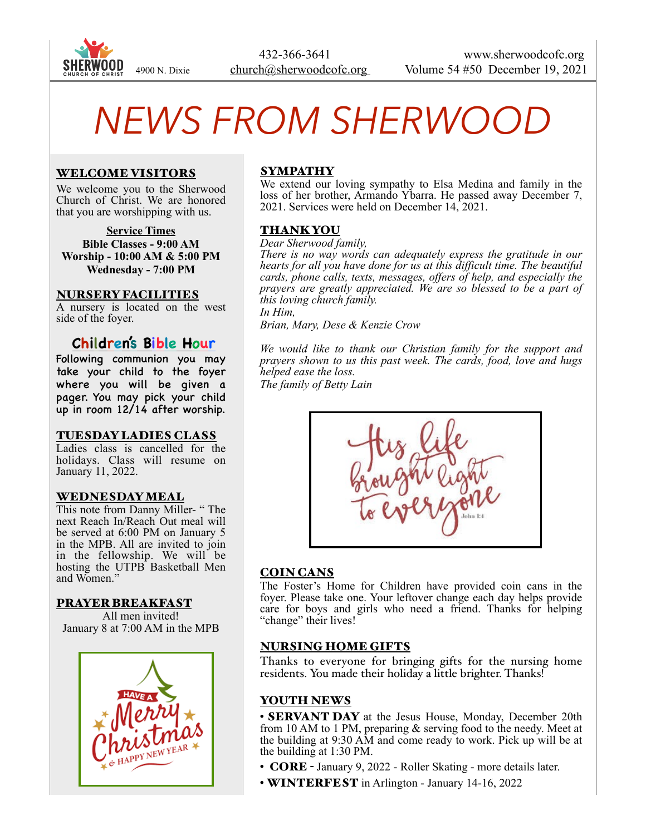

# *NEWS FROM SHERWOOD*

# WELCOME VISITORS

We welcome you to the Sherwood Church of Christ. We are honored that you are worshipping with us.

**Service Times Bible Classes - 9:00 AM Worship - 10:00 AM & 5:00 PM Wednesday - 7:00 PM** 

### NURSERY FACILITIES

A nursery is located on the west side of the foyer.

# **Children's Bible Hour**

Following communion you may take your child to the foyer where you will be given a pager. You may pick your child up in room 12/14 after worship.

### TUESDAY LADIES CLASS

Ladies class is cancelled for the holidays. Class will resume on January 11, 2022.

### WEDNESDAY MEAL

This note from Danny Miller- " The next Reach In/Reach Out meal will be served at 6:00 PM on January 5 in the MPB. All are invited to join in the fellowship. We will be hosting the UTPB Basketball Men and Women."

### PRAYER BREAKFAST

All men invited! January 8 at 7:00 AM in the MPB



# SYMPATHY

We extend our loving sympathy to Elsa Medina and family in the loss of her brother, Armando Ybarra. He passed away December 7, 2021. Services were held on December 14, 2021.

# THANK YOU

#### *Dear Sherwood family,*

*There is no way words can adequately express the gratitude in our hearts for all you have done for us at this difficult time. The beautiful cards, phone calls, texts, messages, offers of help, and especially the prayers are greatly appreciated. We are so blessed to be a part of this loving church family. In Him,* 

*Brian, Mary, Dese & Kenzie Crow* 

*We would like to thank our Christian family for the support and prayers shown to us this past week. The cards, food, love and hugs helped ease the loss.* 

*The family of Betty Lain*



# COIN CANS

The Foster's Home for Children have provided coin cans in the foyer. Please take one. Your leftover change each day helps provide care for boys and girls who need a friend. Thanks for helping "change" their lives!

# NURSING HOME GIFTS

Thanks to everyone for bringing gifts for the nursing home residents. You made their holiday a little brighter. Thanks!

# YOUTH NEWS

• **SERVANT DAY** at the Jesus House, Monday, December 20th from 10 AM to 1 PM, preparing & serving food to the needy. Meet at the building at 9:30 AM and come ready to work. Pick up will be at the building at 1:30 PM.

- **CORE** January 9, 2022 Roller Skating more details later.
- **WINTERFEST** in Arlington January 14-16, 2022